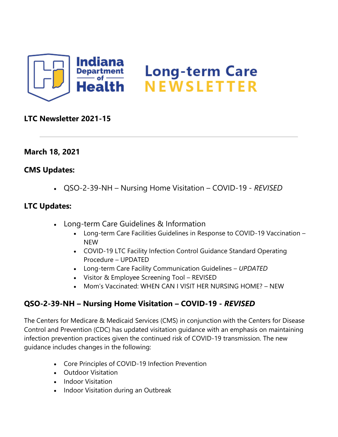

## **LTC Newsletter 2021-15**

## **March 18, 2021**

### **CMS Updates:**

• QSO-2-39-NH – Nursing Home Visitation – COVID-19 - *REVISED*

### **LTC Updates:**

- Long-term Care Guidelines & Information
	- Long-term Care Facilities Guidelines in Response to COVID-19 Vaccination NEW
	- COVID-19 LTC Facility Infection Control Guidance Standard Operating Procedure – UPDATED
	- Long-term Care Facility Communication Guidelines *UPDATED*
	- Visitor & Employee Screening Tool REVISED
	- Mom's Vaccinated: WHEN CAN I VISIT HER NURSING HOME? NEW

# **QSO-2-39-NH – Nursing Home Visitation – COVID-19 -** *REVISED*

The Centers for Medicare & Medicaid Services (CMS) in conjunction with the Centers for Disease Control and Prevention (CDC) has updated visitation guidance with an emphasis on maintaining infection prevention practices given the continued risk of COVID-19 transmission. The new guidance includes changes in the following:

- Core Principles of COVID-19 Infection Prevention
- Outdoor Visitation
- Indoor Visitation
- Indoor Visitation during an Outbreak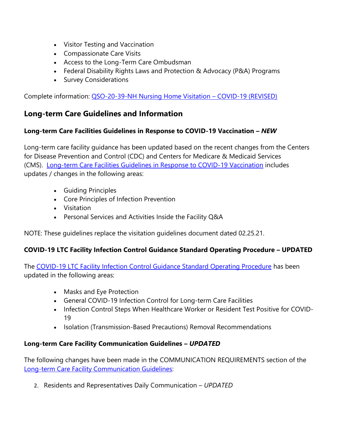- Visitor Testing and Vaccination
- Compassionate Care Visits
- Access to the Long-Term Care Ombudsman
- Federal Disability Rights Laws and Protection & Advocacy (P&A) Programs
- Survey Considerations

Complete information: [QSO-20-39-NH Nursing Home Visitation](https://lnks.gd/l/eyJhbGciOiJIUzI1NiJ9.eyJidWxsZXRpbl9saW5rX2lkIjoxMDAsInVyaSI6ImJwMjpjbGljayIsImJ1bGxldGluX2lkIjoiMjAyMTAzMTguMzcyNDY1ODEiLCJ1cmwiOiJodHRwczovL2NvbnRlbnQuZ292ZGVsaXZlcnkuY29tL2F0dGFjaG1lbnRzL0lOU0RILzIwMjEvMDMvMTgvZmlsZV9hdHRhY2htZW50cy8xNzI3MTE5L1FTTy0yMH4zOS1OSC1IT01FVklTSVRBVElPTi1SZXZpc2VkLlBERiJ9.G47wV-UjHpSv5Q4wWuJPFfM-3EuZsul5UW-uvjLSKGM/s/1439130268/br/100296549954-l) – COVID-19 (REVISED)

# **Long-term Care Guidelines and Information**

#### **Long-term Care Facilities Guidelines in Response to COVID-19 Vaccination –** *NEW*

Long-term care facility guidance has been updated based on the recent changes from the Centers for Disease Prevention and Control (CDC) and Centers for Medicare & Medicaid Services (CMS). [Long-term Care Facilities Guidelines in Response to COVID-19 Vaccination](https://lnks.gd/l/eyJhbGciOiJIUzI1NiJ9.eyJidWxsZXRpbl9saW5rX2lkIjoxMDEsInVyaSI6ImJwMjpjbGljayIsImJ1bGxldGluX2lkIjoiMjAyMTAzMTguMzcyNDY1ODEiLCJ1cmwiOiJodHRwczovL3d3dy5jb3JvbmF2aXJ1cy5pbi5nb3YvZmlsZXMvTFRDJTIwZ3VpZGVsaW5lcyUyMHJlc3BvbnNlJTIwdG8lMjBDT1ZJRC0xOSUyMFZhY2NpbmF0aW9uJTIwMDMuMTYuMjEucGRmIn0.izCxEECzDN1tkxUZpHDgbDzy0PHLZSw03i6wv4ce-FQ/s/1439130268/br/100296549954-l) includes updates / changes in the following areas:

- Guiding Principles
- Core Principles of Infection Prevention
- Visitation
- Personal Services and Activities Inside the Facility Q&A

NOTE: These guidelines replace the visitation guidelines document dated 02.25.21.

#### **COVID-19 LTC Facility Infection Control Guidance Standard Operating Procedure – UPDATED**

The [COVID-19 LTC Facility Infection Control Guidance Standard Operating Procedure](https://lnks.gd/l/eyJhbGciOiJIUzI1NiJ9.eyJidWxsZXRpbl9saW5rX2lkIjoxMDIsInVyaSI6ImJwMjpjbGljayIsImJ1bGxldGluX2lkIjoiMjAyMTAzMTguMzcyNDY1ODEiLCJ1cmwiOiJodHRwczovL2NvbnRlbnQuZ292ZGVsaXZlcnkuY29tL2F0dGFjaG1lbnRzL0lOU0RILzIwMjEvMDMvMTgvZmlsZV9hdHRhY2htZW50cy8xNzI3MTI4L0lOX0NPVklELTE5JTIwTFRDJTIwU09QJTIwY2hlY2tsaXN0JTIwMDMuMTYuMjEucGRmIn0.WVXUa6ifmSyucAsOEEowmTvquSYc64CsWBAtdF6m7Co/s/1439130268/br/100296549954-l) has been updated in the following areas:

- Masks and Eye Protection
- General COVID-19 Infection Control for Long-term Care Facilities
- Infection Control Steps When Healthcare Worker or Resident Test Positive for COVID-19
- Isolation (Transmission-Based Precautions) Removal Recommendations

#### **Long-term Care Facility Communication Guidelines –** *UPDATED*

The following changes have been made in the COMMUNICATION REQUIREMENTS section of the [Long-term Care Facility Communication Guidelines:](https://lnks.gd/l/eyJhbGciOiJIUzI1NiJ9.eyJidWxsZXRpbl9saW5rX2lkIjoxMDMsInVyaSI6ImJwMjpjbGljayIsImJ1bGxldGluX2lkIjoiMjAyMTAzMTguMzcyNDY1ODEiLCJ1cmwiOiJodHRwczovL3d3dy5jb3JvbmF2aXJ1cy5pbi5nb3YvZmlsZXMvSU5fQ09WSUQtMTlfY29tbSUyMGd1aWRlbGluZXMlMjAzLjE1LjIxLnBkZiJ9._sSjJgF6hPbR6XZoxMVOPdcbhFSGUtk3JmcgMgrvYCQ/s/1439130268/br/100296549954-l)

2. Residents and Representatives Daily Communication – *UPDATED*